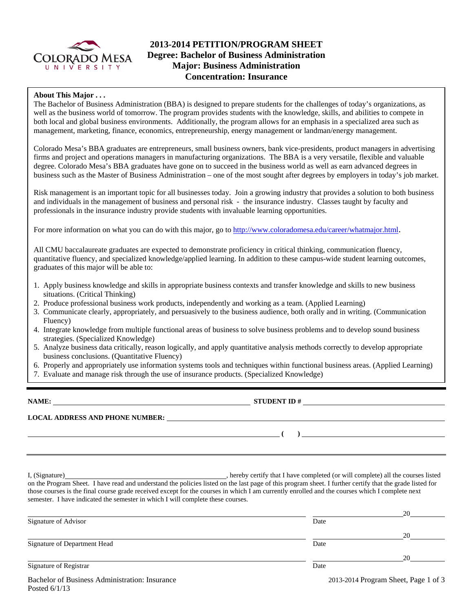

## **2013-2014 PETITION/PROGRAM SHEET Degree: Bachelor of Business Administration Major: Business Administration Concentration: Insurance**

### **About This Major . . .**

The Bachelor of Business Administration (BBA) is designed to prepare students for the challenges of today's organizations, as well as the business world of tomorrow. The program provides students with the knowledge, skills, and abilities to compete in both local and global business environments. Additionally, the program allows for an emphasis in a specialized area such as management, marketing, finance, economics, entrepreneurship, energy management or landman/energy management.

Colorado Mesa's BBA graduates are entrepreneurs, small business owners, bank vice-presidents, product managers in advertising firms and project and operations managers in manufacturing organizations. The BBA is a very versatile, flexible and valuable degree. Colorado Mesa's BBA graduates have gone on to succeed in the business world as well as earn advanced degrees in business such as the Master of Business Administration – one of the most sought after degrees by employers in today's job market.

Risk management is an important topic for all businesses today. Join a growing industry that provides a solution to both business and individuals in the management of business and personal risk - the insurance industry. Classes taught by faculty and professionals in the insurance industry provide students with invaluable learning opportunities.

For more information on what you can do with this major, go to http://www.coloradomesa.edu/career/whatmajor.html.

All CMU baccalaureate graduates are expected to demonstrate proficiency in critical thinking, communication fluency, quantitative fluency, and specialized knowledge/applied learning. In addition to these campus-wide student learning outcomes, graduates of this major will be able to:

- 1. Apply business knowledge and skills in appropriate business contexts and transfer knowledge and skills to new business situations. (Critical Thinking)
- 2. Produce professional business work products, independently and working as a team. (Applied Learning)
- 3. Communicate clearly, appropriately, and persuasively to the business audience, both orally and in writing. (Communication Fluency)
- 4. Integrate knowledge from multiple functional areas of business to solve business problems and to develop sound business strategies. (Specialized Knowledge)
- 5. Analyze business data critically, reason logically, and apply quantitative analysis methods correctly to develop appropriate business conclusions. (Quantitative Fluency)
- 6. Properly and appropriately use information systems tools and techniques within functional business areas. (Applied Learning)
- 7. Evaluate and manage risk through the use of insurance products. (Specialized Knowledge)

**NAME: STUDENT ID # LOCAL ADDRESS AND PHONE NUMBER: ( )** 

I, (Signature) , hereby certify that I have completed (or will complete) all the courses listed on the Program Sheet. I have read and understand the policies listed on the last page of this program sheet. I further certify that the grade listed for those courses is the final course grade received except for the courses in which I am currently enrolled and the courses which I complete next semester. I have indicated the semester in which I will complete these courses.

|                                                |      | 20                                   |
|------------------------------------------------|------|--------------------------------------|
| Signature of Advisor                           | Date |                                      |
|                                                |      | 20                                   |
| Signature of Department Head                   | Date |                                      |
|                                                |      | 20                                   |
| Signature of Registrar                         | Date |                                      |
| Bachelor of Business Administration: Insurance |      | 2013-2014 Program Sheet, Page 1 of 3 |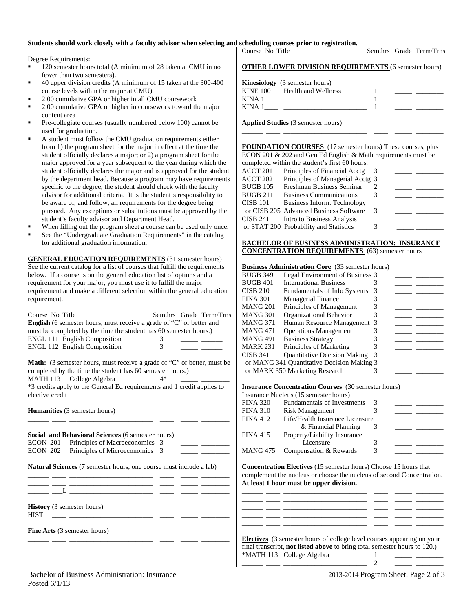### **Students should work closely with a faculty advisor when selecting and scheduling courses prior to registration.**

Degree Requirements:

- 120 semester hours total (A minimum of 28 taken at CMU in no fewer than two semesters).
- 40 upper division credits (A minimum of 15 taken at the 300-400 course levels within the major at CMU).
- 2.00 cumulative GPA or higher in all CMU coursework
- 2.00 cumulative GPA or higher in coursework toward the major content area
- Pre-collegiate courses (usually numbered below 100) cannot be used for graduation.
- A student must follow the CMU graduation requirements either from 1) the program sheet for the major in effect at the time the student officially declares a major; or 2) a program sheet for the major approved for a year subsequent to the year during which the student officially declares the major and is approved for the student by the department head. Because a program may have requirements specific to the degree, the student should check with the faculty advisor for additional criteria. It is the student's responsibility to be aware of, and follow, all requirements for the degree being pursued. Any exceptions or substitutions must be approved by the student's faculty advisor and Department Head.
- When filling out the program sheet a course can be used only once.
- See the "Undergraduate Graduation Requirements" in the catalog for additional graduation information.

**GENERAL EDUCATION REQUIREMENTS** (31 semester hours) See the current catalog for a list of courses that fulfill the requirements below. If a course is on the general education list of options and a requirement for your major, you must use it to fulfill the major requirement and make a different selection within the general education requirement.

| Course No Title<br><b>English</b> (6 semester hours, must receive a grade of "C" or better and<br>must be completed by the time the student has 60 semester hours.)<br>ENGL 111 English Composition<br><b>ENGL 112 English Composition</b>                            | Sem.hrs Grade Term/Trns<br>3<br>3 |
|-----------------------------------------------------------------------------------------------------------------------------------------------------------------------------------------------------------------------------------------------------------------------|-----------------------------------|
| <b>Math:</b> (3 semester hours, must receive a grade of "C" or better, must be<br>completed by the time the student has 60 semester hours.)<br>MATH 113 College Algebra<br>*3 credits apply to the General Ed requirements and 1 credit applies to<br>elective credit | $4*$                              |
| <b>Humanities</b> (3 semester hours)                                                                                                                                                                                                                                  |                                   |
| Social and Behavioral Sciences (6 semester hours)<br>ECON 201 Principles of Macroeconomics 3<br>ECON 202 Principles of Microeconomics 3                                                                                                                               |                                   |
| Natural Sciences (7 semester hours, one course must include a lab)                                                                                                                                                                                                    |                                   |
| the property of the control of the control of the control of the control of<br>where $\mathbf{L}$ is the contract of the contract of $\mathbf{L}$                                                                                                                     |                                   |
| <b>History</b> (3 semester hours)<br><b>HIST</b>                                                                                                                                                                                                                      |                                   |
| <b>Fine Arts</b> (3 semester hours)                                                                                                                                                                                                                                   |                                   |

\_\_\_\_\_\_ \_\_\_\_ \_\_\_\_\_\_\_\_\_\_\_\_\_\_\_\_\_\_\_\_\_\_\_\_ \_\_\_\_ \_\_\_\_\_ \_\_\_\_\_\_\_\_

Course No Title Sem.hrs Grade Term/Trns

### **OTHER LOWER DIVISION REQUIREMENTS** (6 semester hours)

|          | <b>Kinesiology</b> (3 semester hours) |  |
|----------|---------------------------------------|--|
| KINE 100 | Health and Wellness                   |  |
| KINA 1   |                                       |  |
| KINA 1   |                                       |  |

**Applied Studies** (3 semester hours)

**FOUNDATION COURSES** (17 semester hours) These courses, plus ECON 201 & 202 and Gen Ed English & Math requirements must be completed within the student's first 60 hours.

\_\_\_\_\_\_ \_\_\_\_ \_\_\_\_\_\_\_\_\_\_\_\_\_\_\_\_\_\_\_\_\_\_\_\_ \_\_\_\_ \_\_\_\_\_ \_\_\_\_\_\_\_\_

|                 | compreted within the biadent b mot of notice. |     |  |
|-----------------|-----------------------------------------------|-----|--|
| ACCT 201        | Principles of Financial Acctg                 | - 3 |  |
| ACCT 202        | Principles of Managerial Acctg 3              |     |  |
| <b>BUGB 105</b> | Freshman Business Seminar                     |     |  |
| <b>BUGB 211</b> | <b>Business Communications</b>                |     |  |
| <b>CISB 101</b> | Business Inform. Technology                   |     |  |
|                 | or CISB 205 Advanced Business Software        | - 3 |  |

# **BACHELOR OF BUSINESS ADMINISTRATION: INSURANCE CONCENTRATION REQUIREMENTS** (63) semester hours

### **Business Administration Core** (33 semester hours)

CISB 241 Intro to Business Analysis or STAT 200 Probability and Statistics 3

| <b>BUGB 349</b> | Legal Environment of Business 3            |  |  |
|-----------------|--------------------------------------------|--|--|
| BUGB 401        | <b>International Business</b>              |  |  |
| CISB 210        | <b>Fundamentals of Info Systems</b>        |  |  |
| FINA 301        | <b>Managerial Finance</b>                  |  |  |
| MANG 201        | Principles of Management                   |  |  |
| MANG 301        | Organizational Behavior                    |  |  |
| MANG 371        | Human Resource Management 3                |  |  |
| MANG 471        | <b>Operations Management</b>               |  |  |
| MANG 491        | <b>Business Strategy</b>                   |  |  |
| MARK 231        | Principles of Marketing                    |  |  |
| CISB 341        | <b>Quantitative Decision Making</b>        |  |  |
|                 | or MANG 341 Quantitative Decision Making 3 |  |  |
|                 | or MARK 350 Marketing Research             |  |  |

### **Insurance Concentration Courses** (30 semester hours)

|                 | <b>Institution Concentration Courses</b> (50 semester hours) |   |  |
|-----------------|--------------------------------------------------------------|---|--|
|                 | Insurance Nucleus (15 semester hours)                        |   |  |
| <b>FINA 320</b> | <b>Fundamentals of Investments</b>                           | 3 |  |
| <b>FINA 310</b> | <b>Risk Management</b>                                       |   |  |
| <b>FINA 412</b> | Life/Health Insurance Licensure                              |   |  |
|                 | & Financial Planning                                         | 3 |  |
| <b>FINA 415</b> | Property/Liability Insurance                                 |   |  |
|                 | Licensure                                                    | 3 |  |
|                 | MANG 475 Compensation & Rewards                              | 3 |  |
|                 |                                                              |   |  |

**Concentration Electives** (15 semester hours) Choose 15 hours that complement the nucleus or choose the nucleus of second Concentration. **At least 1 hour must be upper division.**

\_\_\_\_\_\_ \_\_\_\_ \_\_\_\_\_\_\_\_\_\_\_\_\_\_\_\_\_\_\_\_\_\_\_\_ \_\_\_\_ \_\_\_\_\_ \_\_\_\_\_\_\_\_ \_\_\_\_\_\_ \_\_\_\_ \_\_\_\_\_\_\_\_\_\_\_\_\_\_\_\_\_\_\_\_\_\_\_\_ \_\_\_\_ \_\_\_\_\_ \_\_\_\_\_\_\_\_ \_\_\_\_\_\_ \_\_\_\_ \_\_\_\_\_\_\_\_\_\_\_\_\_\_\_\_\_\_\_\_\_\_\_\_ \_\_\_\_ \_\_\_\_\_ \_\_\_\_\_\_\_\_ \_\_\_\_\_\_ \_\_\_\_ \_\_\_\_\_\_\_\_\_\_\_\_\_\_\_\_\_\_\_\_\_\_\_\_ \_\_\_\_ \_\_\_\_\_ \_\_\_\_\_\_\_\_ \_\_\_\_\_\_ \_\_\_\_ \_\_\_\_\_\_\_\_\_\_\_\_\_\_\_\_\_\_\_\_\_\_\_\_ \_\_\_\_ \_\_\_\_\_ \_\_\_\_\_\_\_\_

| <b>Electives</b> (3 semester hours of college level courses appearing on your    |  |
|----------------------------------------------------------------------------------|--|
| final transcript, <b>not listed above</b> to bring total semester hours to 120.) |  |
| *MATH 113 College Algebra                                                        |  |

\_\_\_\_\_\_ \_\_\_\_ \_\_\_\_\_\_\_\_\_\_\_\_\_\_\_\_\_\_\_\_\_\_\_\_ 2 \_\_\_\_\_ \_\_\_\_\_\_\_\_